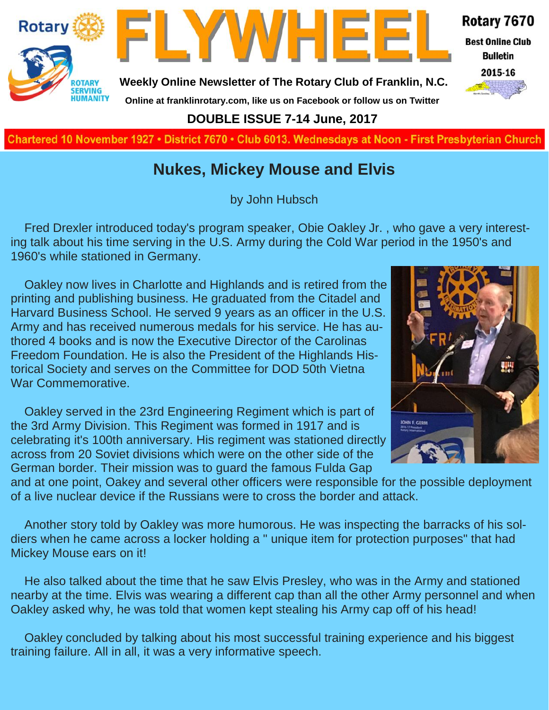

**Charted November 29, 1927 • District 7670 • Club 6013 Wednesdays at Noon - First Presbyterian Church**

### **Nukes, Mickey Mouse and Elvis**

by John Hubsch

Fred Drexler introduced today's program speaker, Obie Oakley Jr. , who gave a very interesting talk about his time serving in the U.S. Army during the Cold War period in the 1950's and 1960's while stationed in Germany.

Oakley now lives in Charlotte and Highlands and is retired from the printing and publishing business. He graduated from the Citadel and Harvard Business School. He served 9 years as an officer in the U.S. Army and has received numerous medals for his service. He has authored 4 books and is now the Executive Director of the Carolinas Freedom Foundation. He is also the President of the Highlands Historical Society and serves on the Committee for DOD 50th Vietna War Commemorative.

Oakley served in the 23rd Engineering Regiment which is part of the 3rd Army Division. This Regiment was formed in 1917 and is celebrating it's 100th anniversary. His regiment was stationed directly across from 20 Soviet divisions which were on the other side of the German border. Their mission was to guard the famous Fulda Gap



and at one point, Oakey and several other officers were responsible for the possible deployment of a live nuclear device if the Russians were to cross the border and attack.

Another story told by Oakley was more humorous. He was inspecting the barracks of his soldiers when he came across a locker holding a " unique item for protection purposes" that had Mickey Mouse ears on it!

He also talked about the time that he saw Elvis Presley, who was in the Army and stationed nearby at the time. Elvis was wearing a different cap than all the other Army personnel and when Oakley asked why, he was told that women kept stealing his Army cap off of his head!

Oakley concluded by talking about his most successful training experience and his biggest training failure. All in all, it was a very informative speech.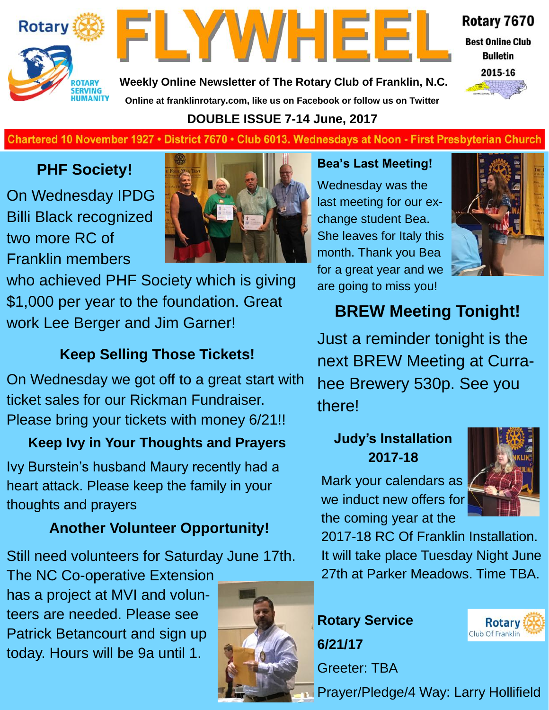

FLYWHEE

Rotary 7670

**Best Online Club Bulletin** 



**Weekly Online Newsletter of The Rotary Club of Franklin, N.C. Online at franklinrotary.com, like us on Facebook or follow us on Twitter**

**DOUBLE ISSUE 7-14 June, 2017**

### **Charted November 29, 1927 • District 7670 • Club 6013 Wednesdays at Noon - First Presbyterian Church**

### **PHF Society!**

On Wednesday IPDG Billi Black recognized two more RC of Franklin members



who achieved PHF Society which is giving \$1,000 per year to the foundation. Great work Lee Berger and Jim Garner!

### **Keep Selling Those Tickets!**

On Wednesday we got off to a great start with ticket sales for our Rickman Fundraiser. Please bring your tickets with money 6/21!!

### **Keep Ivy in Your Thoughts and Prayers**

Ivy Burstein's husband Maury recently had a heart attack. Please keep the family in your thoughts and prayers

### **Another Volunteer Opportunity!**

Still need volunteers for Saturday June 17th.

The NC Co-operative Extension has a project at MVI and volunteers are needed. Please see Patrick Betancourt and sign up today. Hours will be 9a until 1.

**Bea's Last Meeting!** Wednesday was the last meeting for our ex-

change student Bea. She leaves for Italy this month. Thank you Bea for a great year and we are going to miss you!



### **BREW Meeting Tonight!**

Just a reminder tonight is the next BREW Meeting at Currahee Brewery 530p. See you there!

### **Judy's Installation 2017-18**

Mark your calendars as we induct new offers for the coming year at the



2017-18 RC Of Franklin Installation. It will take place Tuesday Night June 27th at Parker Meadows. Time TBA.







Prayer/Pledge/4 Way: Larry Hollifield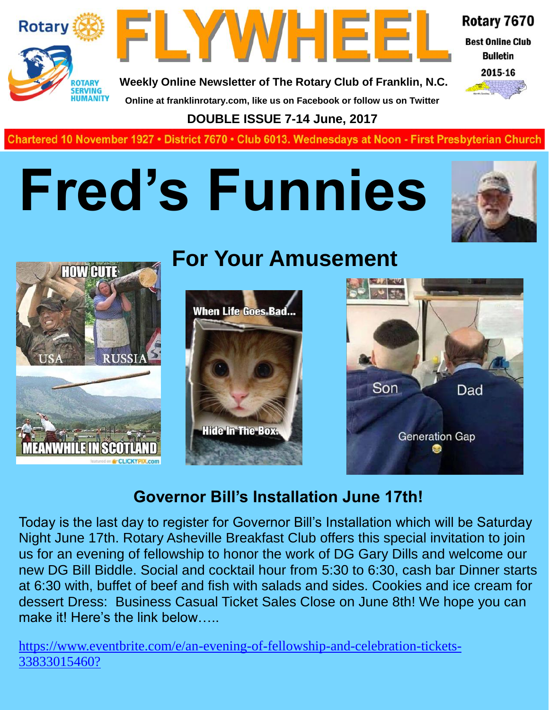



Rotary 7670

**Best Online Club Bulletin** 



**Weekly Online Newsletter of The Rotary Club of Franklin, N.C. Online at franklinrotary.com, like us on Facebook or follow us on Twitter**

**DOUBLE ISSUE 7-14 June, 2017**

**Charted November 29, 1927 • District 7670 • Club 6013 Wednesdays at Noon - First Presbyterian Church**

## **Fred's Funnies**





### **For Your Amusement**





### **Governor Bill's Installation June 17th!**

Today is the last day to register for Governor Bill's Installation which will be Saturday Night June 17th. Rotary Asheville Breakfast Club offers this special invitation to join us for an evening of fellowship to honor the work of DG Gary Dills and welcome our new DG Bill Biddle. Social and cocktail hour from 5:30 to 6:30, cash bar Dinner starts at 6:30 with, buffet of beef and fish with salads and sides. Cookies and ice cream for dessert Dress: Business Casual Ticket Sales Close on June 8th! We hope you can make it! Here's the link below.....

https://www.eventbrite.com/e/an-evening-of-fellowship-and-celebration-tickets-33833015460?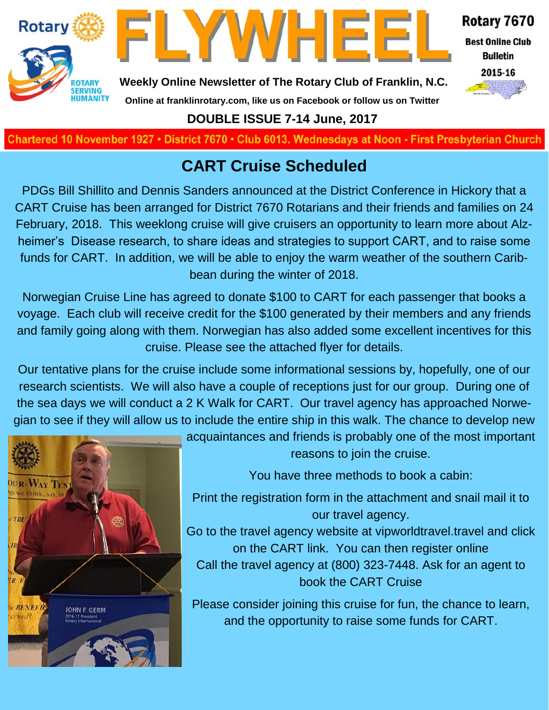



Rotary 7670 **Best Online Club** 

**Bulletin** 



**Weekly Online Newsletter of The Rotary Club of Franklin, N.C.**

### **Online at franklinrotary.com, like us on Facebook or follow us on Twitter DOUBLE ISSUE 7-14 June, 2017**

**Charted November 29, 1927 • District 7670 • Club 6013 Wednesdays at Noon - First Presbyterian Church**

### **CART Cruise Scheduled**

PDGs Bill Shillito and Dennis Sanders announced at the District Conference in Hickory that a CART Cruise has been arranged for District 7670 Rotarians and their friends and families on 24 February, 2018. This weeklong cruise will give cruisers an opportunity to learn more about Alzheimer's Disease research, to share ideas and strategies to support CART, and to raise some funds for CART. In addition, we will be able to enjoy the warm weather of the southern Caribbean during the winter of 2018.

Norwegian Cruise Line has agreed to donate \$100 to CART for each passenger that books a voyage. Each club will receive credit for the \$100 generated by their members and any friends and family going along with them. Norwegian has also added some excellent incentives for this cruise. Please see the attached flyer for details.

Our tentative plans for the cruise include some informational sessions by, hopefully, one of our research scientists. We will also have a couple of receptions just for our group. During one of the sea days we will conduct a 2 K Walk for CART. Our travel agency has approached Norwegian to see if they will allow us to include the entire ship in this walk. The chance to develop new



acquaintances and friends is probably one of the most important reasons to join the cruise.

You have three methods to book a cabin:

Print the registration form in the attachment and snail mail it to our travel agency.

Go to the travel agency website at vipworldtravel.travel and click on the CART link. You can then register online Call the travel agency at (800) 323-7448. Ask for an agent to book the CART Cruise

Please consider joining this cruise for fun, the chance to learn, and the opportunity to raise some funds for CART.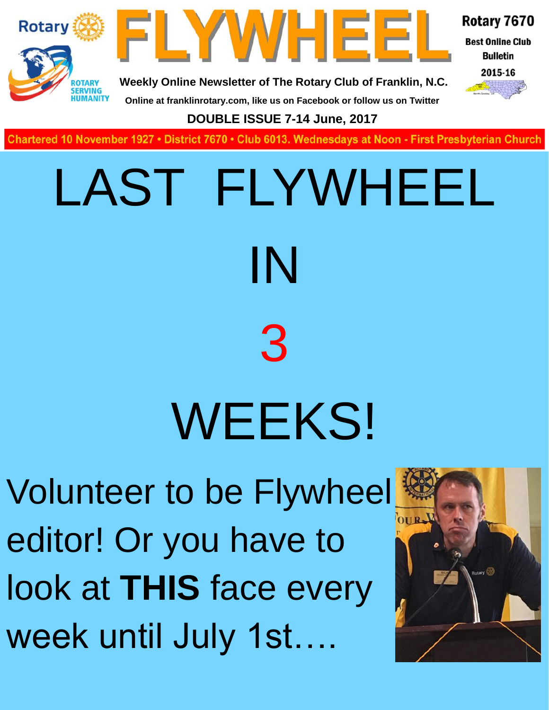

**Charted November 29, 1927 • District 7670 • Club 6013 Wednesdays at Noon - First Presbyterian Church**

# LAST FLYWHEEL IN 3 WEEKS!

Volunteer to be Flywheel editor! Or you have to look at **THIS** face every week until July 1st….